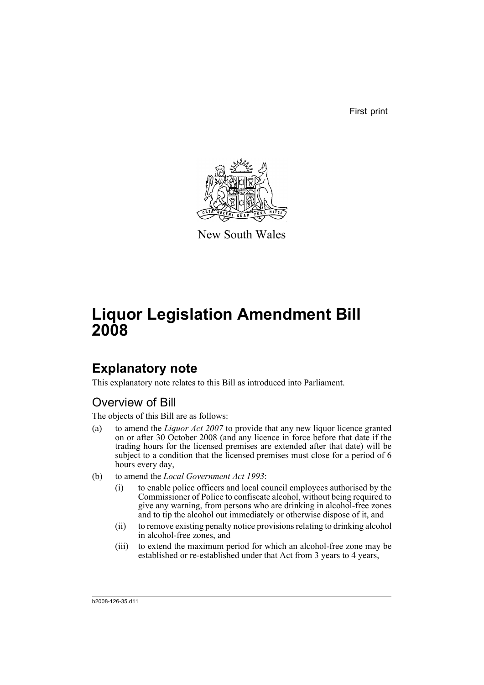First print



New South Wales

# **Liquor Legislation Amendment Bill 2008**

## **Explanatory note**

This explanatory note relates to this Bill as introduced into Parliament.

### Overview of Bill

The objects of this Bill are as follows:

- (a) to amend the *Liquor Act 2007* to provide that any new liquor licence granted on or after 30 October 2008 (and any licence in force before that date if the trading hours for the licensed premises are extended after that date) will be subject to a condition that the licensed premises must close for a period of 6 hours every day,
- (b) to amend the *Local Government Act 1993*:
	- (i) to enable police officers and local council employees authorised by the Commissioner of Police to confiscate alcohol, without being required to give any warning, from persons who are drinking in alcohol-free zones and to tip the alcohol out immediately or otherwise dispose of it, and
	- (ii) to remove existing penalty notice provisions relating to drinking alcohol in alcohol-free zones, and
	- (iii) to extend the maximum period for which an alcohol-free zone may be established or re-established under that Act from 3 years to 4 years,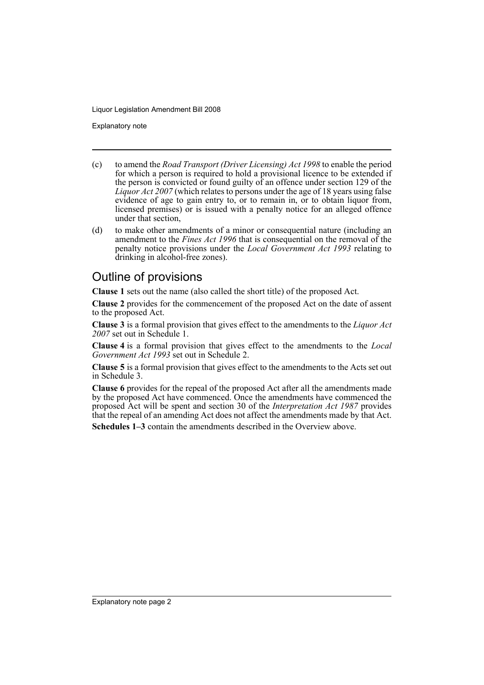Explanatory note

- (c) to amend the *Road Transport (Driver Licensing) Act 1998* to enable the period for which a person is required to hold a provisional licence to be extended if the person is convicted or found guilty of an offence under section 129 of the *Liquor Act 2007* (which relates to persons under the age of 18 years using false evidence of age to gain entry to, or to remain in, or to obtain liquor from, licensed premises) or is issued with a penalty notice for an alleged offence under that section,
- (d) to make other amendments of a minor or consequential nature (including an amendment to the *Fines Act 1996* that is consequential on the removal of the penalty notice provisions under the *Local Government Act 1993* relating to drinking in alcohol-free zones).

#### Outline of provisions

**Clause 1** sets out the name (also called the short title) of the proposed Act.

**Clause 2** provides for the commencement of the proposed Act on the date of assent to the proposed Act.

**Clause 3** is a formal provision that gives effect to the amendments to the *Liquor Act 2007* set out in Schedule 1.

**Clause 4** is a formal provision that gives effect to the amendments to the *Local Government Act 1993* set out in Schedule 2.

**Clause 5** is a formal provision that gives effect to the amendments to the Acts set out in Schedule 3.

**Clause 6** provides for the repeal of the proposed Act after all the amendments made by the proposed Act have commenced. Once the amendments have commenced the proposed Act will be spent and section 30 of the *Interpretation Act 1987* provides that the repeal of an amending Act does not affect the amendments made by that Act.

**Schedules 1–3** contain the amendments described in the Overview above.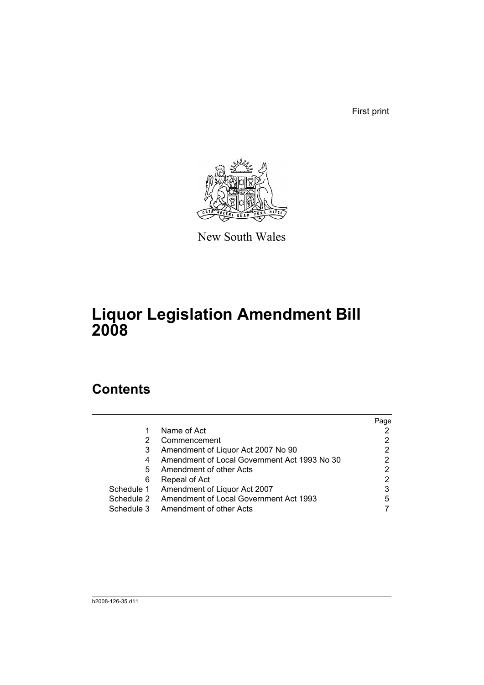First print



New South Wales

# **Liquor Legislation Amendment Bill 2008**

### **Contents**

|            |                                              | Page |
|------------|----------------------------------------------|------|
|            | Name of Act                                  |      |
|            | Commencement                                 | 2    |
| 3          | Amendment of Liquor Act 2007 No 90           |      |
| 4          | Amendment of Local Government Act 1993 No 30 | っ    |
| 5          | Amendment of other Acts                      | 2    |
| 6          | Repeal of Act                                |      |
| Schedule 1 | Amendment of Liquor Act 2007                 | 3    |
| Schedule 2 | Amendment of Local Government Act 1993       | 5    |
| Schedule 3 | Amendment of other Acts                      |      |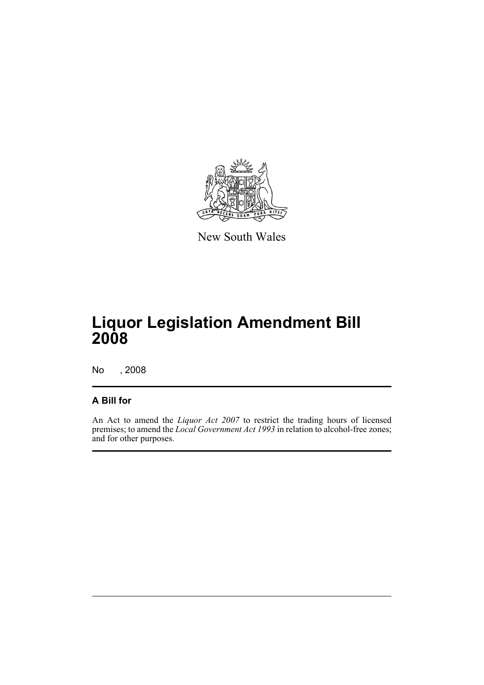

New South Wales

## **Liquor Legislation Amendment Bill 2008**

No , 2008

#### **A Bill for**

An Act to amend the *Liquor Act 2007* to restrict the trading hours of licensed premises; to amend the *Local Government Act 1993* in relation to alcohol-free zones; and for other purposes.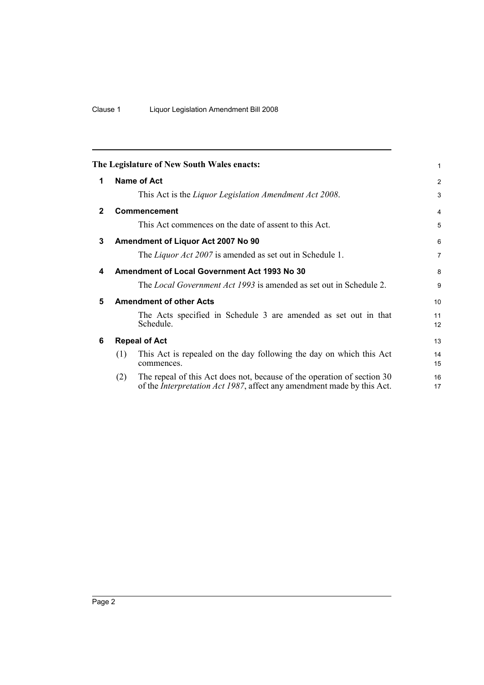<span id="page-5-5"></span><span id="page-5-4"></span><span id="page-5-3"></span><span id="page-5-2"></span><span id="page-5-1"></span><span id="page-5-0"></span>

|              |     | The Legislature of New South Wales enacts:                                                                                                                | 1                     |
|--------------|-----|-----------------------------------------------------------------------------------------------------------------------------------------------------------|-----------------------|
| 1            |     | Name of Act                                                                                                                                               | 2                     |
|              |     | This Act is the Liquor Legislation Amendment Act 2008.                                                                                                    | 3                     |
| $\mathbf{2}$ |     | <b>Commencement</b>                                                                                                                                       | $\overline{4}$        |
|              |     | This Act commences on the date of assent to this Act.                                                                                                     | 5                     |
| 3            |     | Amendment of Liquor Act 2007 No 90                                                                                                                        | 6                     |
|              |     | The <i>Liquor Act 2007</i> is amended as set out in Schedule 1.                                                                                           | $\overline{7}$        |
| 4            |     | <b>Amendment of Local Government Act 1993 No 30</b>                                                                                                       | 8                     |
|              |     | The <i>Local Government Act 1993</i> is amended as set out in Schedule 2.                                                                                 | 9                     |
| 5            |     | <b>Amendment of other Acts</b>                                                                                                                            | 10                    |
|              |     | The Acts specified in Schedule 3 are amended as set out in that<br>Schedule.                                                                              | 11<br>12 <sup>2</sup> |
| 6            |     | <b>Repeal of Act</b>                                                                                                                                      | 13                    |
|              | (1) | This Act is repealed on the day following the day on which this Act<br>commences.                                                                         | 14<br>15              |
|              | (2) | The repeal of this Act does not, because of the operation of section 30<br>of the <i>Interpretation Act 1987</i> , affect any amendment made by this Act. | 16<br>17              |
|              |     |                                                                                                                                                           |                       |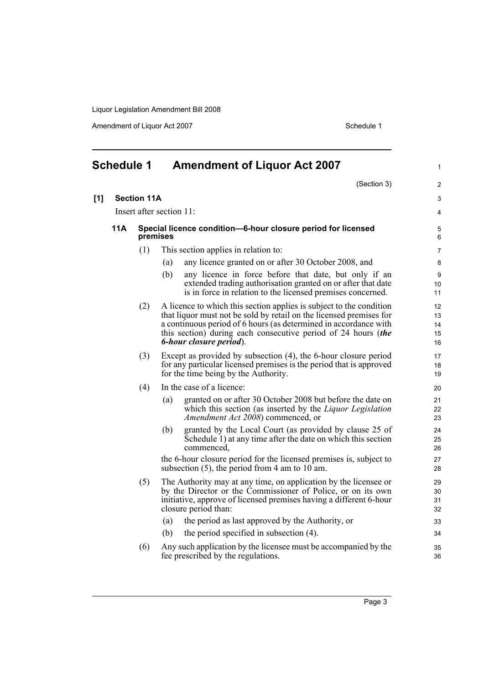Amendment of Liquor Act 2007 Schedule 1

<span id="page-6-0"></span>

|     | <b>Schedule 1</b> |                          | <b>Amendment of Liquor Act 2007</b>                                                                                                                                                                                                                                                                        | $\mathbf{1}$               |  |  |  |
|-----|-------------------|--------------------------|------------------------------------------------------------------------------------------------------------------------------------------------------------------------------------------------------------------------------------------------------------------------------------------------------------|----------------------------|--|--|--|
|     |                   |                          | (Section 3)                                                                                                                                                                                                                                                                                                | 2                          |  |  |  |
| [1] |                   | <b>Section 11A</b>       |                                                                                                                                                                                                                                                                                                            | 3                          |  |  |  |
|     |                   | Insert after section 11: |                                                                                                                                                                                                                                                                                                            |                            |  |  |  |
|     | 11A               |                          | Special licence condition-6-hour closure period for licensed<br>premises                                                                                                                                                                                                                                   |                            |  |  |  |
|     |                   | (1)                      | This section applies in relation to:                                                                                                                                                                                                                                                                       | 7                          |  |  |  |
|     |                   |                          | any licence granted on or after 30 October 2008, and<br>(a)                                                                                                                                                                                                                                                | 8                          |  |  |  |
|     |                   |                          | (b)<br>any licence in force before that date, but only if an<br>extended trading authorisation granted on or after that date<br>is in force in relation to the licensed premises concerned.                                                                                                                | 9<br>10<br>11              |  |  |  |
|     |                   | (2)                      | A licence to which this section applies is subject to the condition<br>that liquor must not be sold by retail on the licensed premises for<br>a continuous period of 6 hours (as determined in accordance with<br>this section) during each consecutive period of 24 hours (the<br>6-hour closure period). | 12<br>13<br>14<br>15<br>16 |  |  |  |
|     |                   | (3)                      | Except as provided by subsection (4), the 6-hour closure period<br>for any particular licensed premises is the period that is approved<br>for the time being by the Authority.                                                                                                                             | 17<br>18<br>19             |  |  |  |
|     |                   | (4)                      | In the case of a licence:                                                                                                                                                                                                                                                                                  | 20                         |  |  |  |
|     |                   |                          | granted on or after 30 October 2008 but before the date on<br>(a)<br>which this section (as inserted by the Liquor Legislation<br>Amendment Act 2008) commenced, or                                                                                                                                        | 21<br>22<br>23             |  |  |  |
|     |                   |                          | granted by the Local Court (as provided by clause 25 of<br>(b)<br>Schedule 1) at any time after the date on which this section<br>commenced.                                                                                                                                                               | 24<br>25<br>26             |  |  |  |
|     |                   |                          | the 6-hour closure period for the licensed premises is, subject to<br>subsection $(5)$ , the period from 4 am to 10 am.                                                                                                                                                                                    | 27<br>28                   |  |  |  |
|     |                   | (5)                      | The Authority may at any time, on application by the licensee or<br>by the Director or the Commissioner of Police, or on its own<br>initiative, approve of licensed premises having a different 6-hour<br>closure period than:                                                                             | 29<br>30<br>31<br>32       |  |  |  |
|     |                   |                          | the period as last approved by the Authority, or<br>(a)                                                                                                                                                                                                                                                    | 33                         |  |  |  |
|     |                   |                          | the period specified in subsection (4).<br>(b)                                                                                                                                                                                                                                                             | 34                         |  |  |  |
|     |                   | (6)                      | Any such application by the licensee must be accompanied by the<br>fee prescribed by the regulations.                                                                                                                                                                                                      | 35<br>36                   |  |  |  |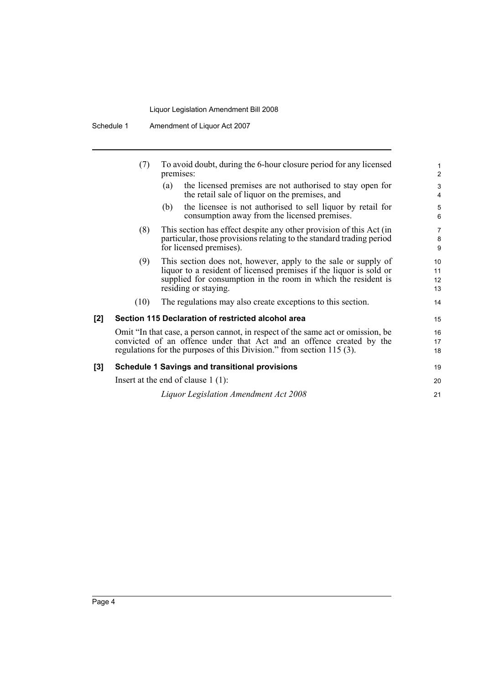|       | (7)                                                                                                                                                                                                                              | To avoid doubt, during the 6-hour closure period for any licensed<br>premises:                                                                                                                                                |                      |  |  |
|-------|----------------------------------------------------------------------------------------------------------------------------------------------------------------------------------------------------------------------------------|-------------------------------------------------------------------------------------------------------------------------------------------------------------------------------------------------------------------------------|----------------------|--|--|
|       |                                                                                                                                                                                                                                  | the licensed premises are not authorised to stay open for<br>(a)<br>the retail sale of liquor on the premises, and                                                                                                            | 3<br>4               |  |  |
|       |                                                                                                                                                                                                                                  | the licensee is not authorised to sell liquor by retail for<br>(b)<br>consumption away from the licensed premises.                                                                                                            | 5<br>6               |  |  |
|       | (8)                                                                                                                                                                                                                              | This section has effect despite any other provision of this Act (in<br>particular, those provisions relating to the standard trading period<br>for licensed premises).                                                        | 7<br>8<br>9          |  |  |
|       | (9)                                                                                                                                                                                                                              | This section does not, however, apply to the sale or supply of<br>liquor to a resident of licensed premises if the liquor is sold or<br>supplied for consumption in the room in which the resident is<br>residing or staying. | 10<br>11<br>12<br>13 |  |  |
|       | (10)                                                                                                                                                                                                                             | The regulations may also create exceptions to this section.                                                                                                                                                                   | 14                   |  |  |
| $[2]$ |                                                                                                                                                                                                                                  | Section 115 Declaration of restricted alcohol area                                                                                                                                                                            | 15                   |  |  |
|       | Omit "In that case, a person cannot, in respect of the same act or omission, be<br>convicted of an offence under that Act and an offence created by the<br>regulations for the purposes of this Division." from section 115 (3). |                                                                                                                                                                                                                               |                      |  |  |
| [3]   | <b>Schedule 1 Savings and transitional provisions</b>                                                                                                                                                                            |                                                                                                                                                                                                                               |                      |  |  |
|       | Insert at the end of clause $1(1)$ :                                                                                                                                                                                             |                                                                                                                                                                                                                               |                      |  |  |
|       |                                                                                                                                                                                                                                  | Liquor Legislation Amendment Act 2008                                                                                                                                                                                         | 21                   |  |  |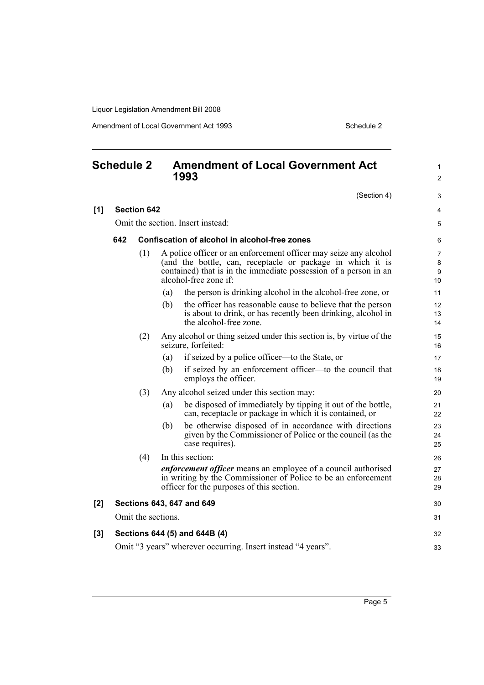Amendment of Local Government Act 1993 Schedule 2

<span id="page-8-0"></span>

| <b>Schedule 2</b> |                    | <b>Amendment of Local Government Act</b><br>1993 |                    | 1<br>$\overline{c}$                                                                                                                                                                                                         |                   |  |
|-------------------|--------------------|--------------------------------------------------|--------------------|-----------------------------------------------------------------------------------------------------------------------------------------------------------------------------------------------------------------------------|-------------------|--|
|                   |                    |                                                  |                    | (Section 4)                                                                                                                                                                                                                 | 3                 |  |
| [1]               | <b>Section 642</b> |                                                  |                    |                                                                                                                                                                                                                             | 4                 |  |
|                   |                    | Omit the section. Insert instead:                |                    |                                                                                                                                                                                                                             |                   |  |
|                   | 642                |                                                  |                    | Confiscation of alcohol in alcohol-free zones                                                                                                                                                                               | 6                 |  |
|                   |                    | (1)                                              |                    | A police officer or an enforcement officer may seize any alcohol<br>(and the bottle, can, receptacle or package in which it is<br>contained) that is in the immediate possession of a person in an<br>alcohol-free zone if: | 7<br>8<br>9<br>10 |  |
|                   |                    |                                                  | (a)                | the person is drinking alcohol in the alcohol-free zone, or                                                                                                                                                                 | 11                |  |
|                   |                    |                                                  | (b)                | the officer has reasonable cause to believe that the person<br>is about to drink, or has recently been drinking, alcohol in<br>the alcohol-free zone.                                                                       | 12<br>13<br>14    |  |
|                   |                    | (2)                                              |                    | Any alcohol or thing seized under this section is, by virtue of the<br>seizure, forfeited:                                                                                                                                  | 15<br>16          |  |
|                   |                    |                                                  | (a)                | if seized by a police officer—to the State, or                                                                                                                                                                              | 17                |  |
|                   |                    |                                                  | (b)                | if seized by an enforcement officer—to the council that<br>employs the officer.                                                                                                                                             | 18<br>19          |  |
|                   |                    | (3)                                              |                    | Any alcohol seized under this section may:                                                                                                                                                                                  | 20                |  |
|                   |                    |                                                  | (a)                | be disposed of immediately by tipping it out of the bottle,<br>can, receptacle or package in which it is contained, or                                                                                                      | 21<br>22          |  |
|                   |                    |                                                  | (b)                | be otherwise disposed of in accordance with directions<br>given by the Commissioner of Police or the council (as the<br>case requires).                                                                                     | 23<br>24<br>25    |  |
|                   |                    | (4)                                              |                    | In this section:                                                                                                                                                                                                            | 26                |  |
|                   |                    |                                                  |                    | <i>enforcement officer</i> means an employee of a council authorised<br>in writing by the Commissioner of Police to be an enforcement<br>officer for the purposes of this section.                                          | 27<br>28<br>29    |  |
| [2]               |                    |                                                  |                    | Sections 643, 647 and 649                                                                                                                                                                                                   | 30                |  |
|                   |                    |                                                  | Omit the sections. |                                                                                                                                                                                                                             | 31                |  |
| $[3]$             |                    |                                                  |                    | Sections 644 (5) and 644B (4)                                                                                                                                                                                               | 32                |  |
|                   |                    |                                                  |                    | Omit "3 years" wherever occurring. Insert instead "4 years".                                                                                                                                                                | 33                |  |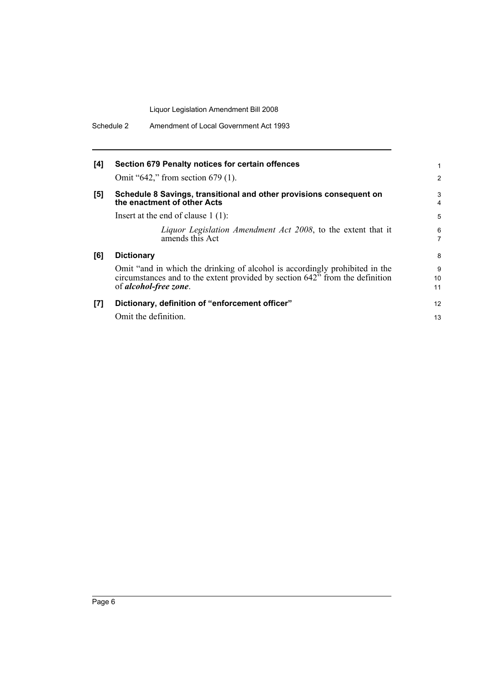| [4]   | Section 679 Penalty notices for certain offences<br>Omit "642," from section 679 (1).                                                                                                | 2             |
|-------|--------------------------------------------------------------------------------------------------------------------------------------------------------------------------------------|---------------|
| [5]   | Schedule 8 Savings, transitional and other provisions consequent on<br>the enactment of other Acts                                                                                   | 3<br>4        |
|       | Insert at the end of clause $1(1)$ :                                                                                                                                                 | 5             |
|       | Liquor Legislation Amendment Act 2008, to the extent that it<br>amends this Act                                                                                                      | 6<br>7        |
| [6]   | <b>Dictionary</b>                                                                                                                                                                    | 8             |
|       | Omit "and in which the drinking of alcohol is accordingly prohibited in the<br>circumstances and to the extent provided by section 642" from the definition<br>of alcohol-free zone. | 9<br>10<br>11 |
| $[7]$ | Dictionary, definition of "enforcement officer"                                                                                                                                      | 12            |
|       | Omit the definition.                                                                                                                                                                 | 13            |